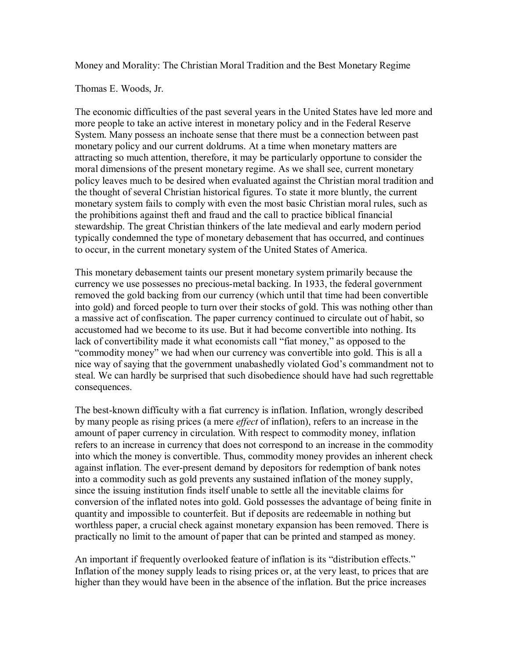Money and Morality: The Christian Moral Tradition and the Best Monetary Regime

Thomas E. Woods, Jr.

The economic difficulties of the past several years in the United States have led more and more people to take an active interest in monetary policy and in the Federal Reserve System. Many possess an inchoate sense that there must be a connection between past monetary policy and our current doldrums. At a time when monetary matters are attracting so much attention, therefore, it may be particularly opportune to consider the moral dimensions of the present monetary regime. As we shall see, current monetary policy leaves much to be desired when evaluated against the Christian moral tradition and the thought of several Christian historical figures. To state it more bluntly, the current monetary system fails to comply with even the most basic Christian moral rules, such as the prohibitions against theft and fraud and the call to practice biblical financial stewardship. The great Christian thinkers of the late medieval and early modern period typically condemned the type of monetary debasement that has occurred, and continues to occur, in the current monetary system of the United States of America.

This monetary debasement taints our present monetary system primarily because the currency we use possesses no precious-metal backing. In 1933, the federal government removed the gold backing from our currency (which until that time had been convertible into gold) and forced people to turn over their stocks of gold. This was nothing other than a massive act of confiscation. The paper currency continued to circulate out of habit, so accustomed had we become to its use. But it had become convertible into nothing. Its lack of convertibility made it what economists call "fiat money," as opposed to the "commodity money" we had when our currency was convertible into gold. This is all a nice way of saying that the government unabashedly violated God's commandment not to steal. We can hardly be surprised that such disobedience should have had such regrettable consequences.

The best-known difficulty with a fiat currency is inflation. Inflation, wrongly described by many people as rising prices (a mere *effect* of inflation), refers to an increase in the amount of paper currency in circulation. With respect to commodity money, inflation refers to an increase in currency that does not correspond to an increase in the commodity into which the money is convertible. Thus, commodity money provides an inherent check against inflation. The ever-present demand by depositors for redemption of bank notes into a commodity such as gold prevents any sustained inflation of the money supply, since the issuing institution finds itself unable to settle all the inevitable claims for conversion of the inflated notes into gold. Gold possesses the advantage of being finite in quantity and impossible to counterfeit. But if deposits are redeemable in nothing but worthless paper, a crucial check against monetary expansion has been removed. There is practically no limit to the amount of paper that can be printed and stamped as money.

An important if frequently overlooked feature of inflation is its "distribution effects." Inflation of the money supply leads to rising prices or, at the very least, to prices that are higher than they would have been in the absence of the inflation. But the price increases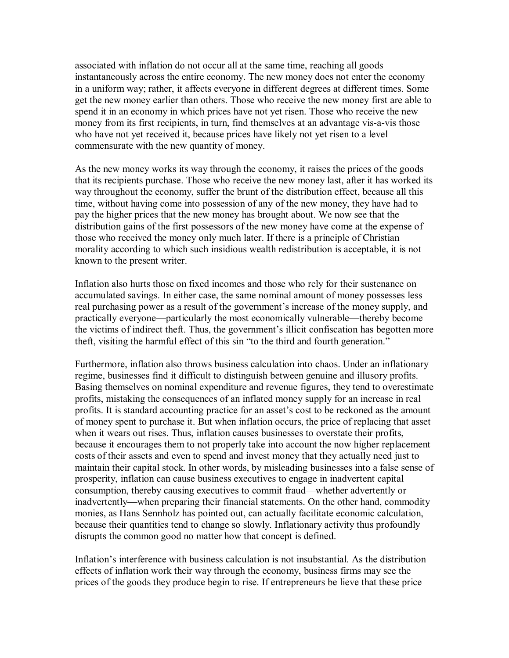associated with inflation do not occur all at the same time, reaching all goods instantaneously across the entire economy. The new money does not enter the economy in a uniform way; rather, it affects everyone in different degrees at different times. Some get the new money earlier than others. Those who receive the new money first are able to spend it in an economy in which prices have not yet risen. Those who receive the new money from its first recipients, in turn, find themselves at an advantage vis-a-vis those who have not yet received it, because prices have likely not yet risen to a level commensurate with the new quantity of money.

As the new money works its way through the economy, it raises the prices of the goods that its recipients purchase. Those who receive the new money last, after it has worked its way throughout the economy, suffer the brunt of the distribution effect, because all this time, without having come into possession of any of the new money, they have had to pay the higher prices that the new money has brought about. We now see that the distribution gains of the first possessors of the new money have come at the expense of those who received the money only much later. If there is a principle of Christian morality according to which such insidious wealth redistribution is acceptable, it is not known to the present writer.

Inflation also hurts those on fixed incomes and those who rely for their sustenance on accumulated savings. In either case, the same nominal amount of money possesses less real purchasing power as a result of the government's increase of the money supply, and practically everyone—particularly the most economically vulnerable—thereby become the victims of indirect theft. Thus, the government's illicit confiscation has begotten more theft, visiting the harmful effect of this sin "to the third and fourth generation."

Furthermore, inflation also throws business calculation into chaos. Under an inflationary regime, businesses find it difficult to distinguish between genuine and illusory profits. Basing themselves on nominal expenditure and revenue figures, they tend to overestimate profits, mistaking the consequences of an inflated money supply for an increase in real profits. It is standard accounting practice for an asset's cost to be reckoned as the amount of money spent to purchase it. But when inflation occurs, the price of replacing that asset when it wears out rises. Thus, inflation causes businesses to overstate their profits, because it encourages them to not properly take into account the now higher replacement costs of their assets and even to spend and invest money that they actually need just to maintain their capital stock. In other words, by misleading businesses into a false sense of prosperity, inflation can cause business executives to engage in inadvertent capital consumption, thereby causing executives to commit fraud—whether advertently or inadvertently—when preparing their financial statements. On the other hand, commodity monies, as Hans Sennholz has pointed out, can actually facilitate economic calculation, because their quantities tend to change so slowly. Inflationary activity thus profoundly disrupts the common good no matter how that concept is defined.

Inflation's interference with business calculation is not insubstantial. As the distribution effects of inflation work their way through the economy, business firms may see the prices of the goods they produce begin to rise. If entrepreneurs be lieve that these price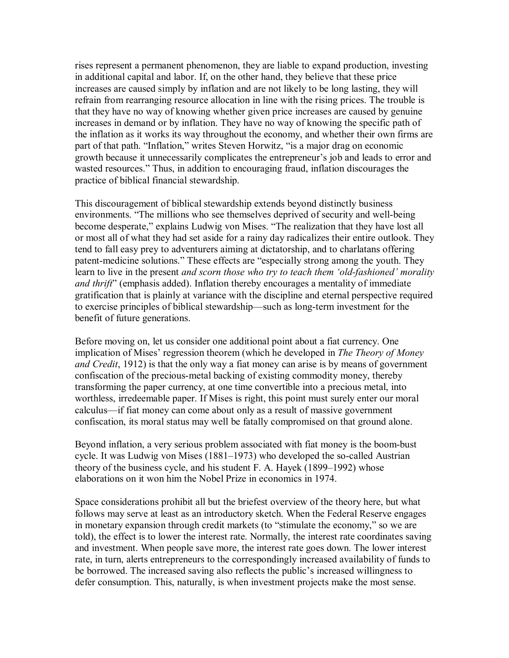rises represent a permanent phenomenon, they are liable to expand production, investing in additional capital and labor. If, on the other hand, they believe that these price increases are caused simply by inflation and are not likely to be long lasting, they will refrain from rearranging resource allocation in line with the rising prices. The trouble is that they have no way of knowing whether given price increases are caused by genuine increases in demand or by inflation. They have no way of knowing the specific path of the inflation as it works its way throughout the economy, and whether their own firms are part of that path. "Inflation," writes Steven Horwitz, "is a major drag on economic growth because it unnecessarily complicates the entrepreneur's job and leads to error and wasted resources." Thus, in addition to encouraging fraud, inflation discourages the practice of biblical financial stewardship.

This discouragement of biblical stewardship extends beyond distinctly business environments. "The millions who see themselves deprived of security and well-being become desperate," explains Ludwig von Mises. "The realization that they have lost all or most all of what they had set aside for a rainy day radicalizes their entire outlook. They tend to fall easy prey to adventurers aiming at dictatorship, and to charlatans offering patent-medicine solutions." These effects are "especially strong among the youth. They learn to live in the present *and scorn those who try to teach them 'old-fashioned' morality and thrift*" (emphasis added). Inflation thereby encourages a mentality of immediate gratification that is plainly at variance with the discipline and eternal perspective required to exercise principles of biblical stewardship—such as long-term investment for the benefit of future generations.

Before moving on, let us consider one additional point about a fiat currency. One implication of Mises' regression theorem (which he developed in *The Theory of Money and Credit*, 1912) is that the only way a fiat money can arise is by means of government confiscation of the precious-metal backing of existing commodity money, thereby transforming the paper currency, at one time convertible into a precious metal, into worthless, irredeemable paper. If Mises is right, this point must surely enter our moral calculus—if fiat money can come about only as a result of massive government confiscation, its moral status may well be fatally compromised on that ground alone.

Beyond inflation, a very serious problem associated with fiat money is the boom-bust cycle. It was Ludwig von Mises (1881–1973) who developed the so-called Austrian theory of the business cycle, and his student F. A. Hayek (1899–1992) whose elaborations on it won him the Nobel Prize in economics in 1974.

Space considerations prohibit all but the briefest overview of the theory here, but what follows may serve at least as an introductory sketch. When the Federal Reserve engages in monetary expansion through credit markets (to "stimulate the economy," so we are told), the effect is to lower the interest rate. Normally, the interest rate coordinates saving and investment. When people save more, the interest rate goes down. The lower interest rate, in turn, alerts entrepreneurs to the correspondingly increased availability of funds to be borrowed. The increased saving also reflects the public's increased willingness to defer consumption. This, naturally, is when investment projects make the most sense.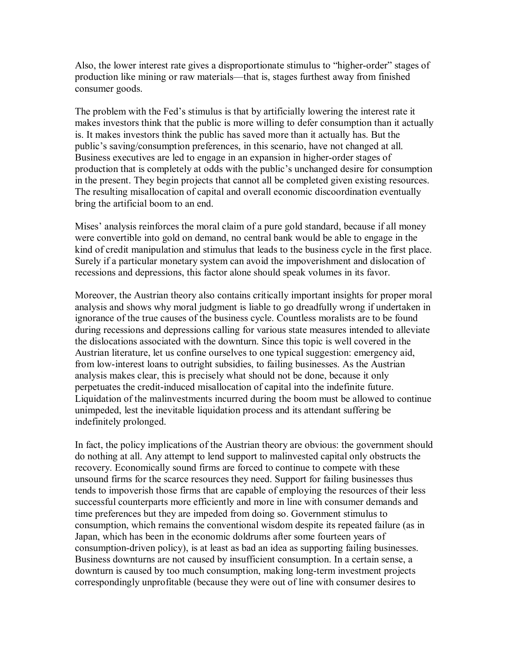Also, the lower interest rate gives a disproportionate stimulus to "higher-order" stages of production like mining or raw materials—that is, stages furthest away from finished consumer goods.

The problem with the Fed's stimulus is that by artificially lowering the interest rate it makes investors think that the public is more willing to defer consumption than it actually is. It makes investors think the public has saved more than it actually has. But the public's saving/consumption preferences, in this scenario, have not changed at all. Business executives are led to engage in an expansion in higher-order stages of production that is completely at odds with the public's unchanged desire for consumption in the present. They begin projects that cannot all be completed given existing resources. The resulting misallocation of capital and overall economic discoordination eventually bring the artificial boom to an end.

Mises' analysis reinforces the moral claim of a pure gold standard, because if all money were convertible into gold on demand, no central bank would be able to engage in the kind of credit manipulation and stimulus that leads to the business cycle in the first place. Surely if a particular monetary system can avoid the impoverishment and dislocation of recessions and depressions, this factor alone should speak volumes in its favor.

Moreover, the Austrian theory also contains critically important insights for proper moral analysis and shows why moral judgment is liable to go dreadfully wrong if undertaken in ignorance of the true causes of the business cycle. Countless moralists are to be found during recessions and depressions calling for various state measures intended to alleviate the dislocations associated with the downturn. Since this topic is well covered in the Austrian literature, let us confine ourselves to one typical suggestion: emergency aid, from low-interest loans to outright subsidies, to failing businesses. As the Austrian analysis makes clear, this is precisely what should not be done, because it only perpetuates the credit-induced misallocation of capital into the indefinite future. Liquidation of the malinvestments incurred during the boom must be allowed to continue unimpeded, lest the inevitable liquidation process and its attendant suffering be indefinitely prolonged.

In fact, the policy implications of the Austrian theory are obvious: the government should do nothing at all. Any attempt to lend support to malinvested capital only obstructs the recovery. Economically sound firms are forced to continue to compete with these unsound firms for the scarce resources they need. Support for failing businesses thus tends to impoverish those firms that are capable of employing the resources of their less successful counterparts more efficiently and more in line with consumer demands and time preferences but they are impeded from doing so. Government stimulus to consumption, which remains the conventional wisdom despite its repeated failure (as in Japan, which has been in the economic doldrums after some fourteen years of consumption-driven policy), is at least as bad an idea as supporting failing businesses. Business downturns are not caused by insufficient consumption. In a certain sense, a downturn is caused by too much consumption, making long-term investment projects correspondingly unprofitable (because they were out of line with consumer desires to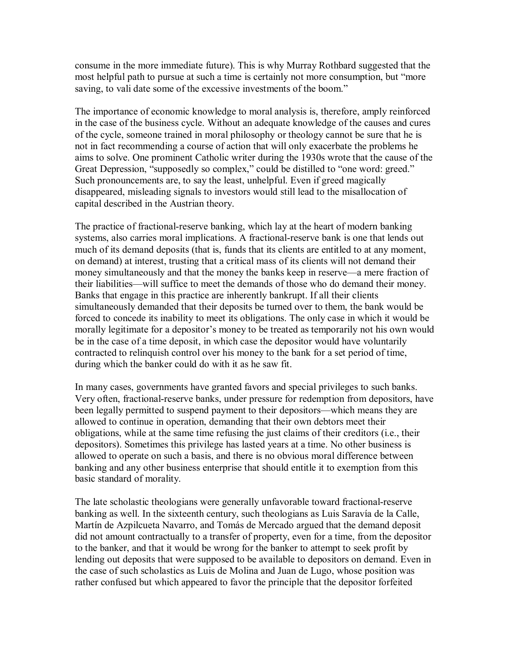consume in the more immediate future). This is why Murray Rothbard suggested that the most helpful path to pursue at such a time is certainly not more consumption, but "more saving, to vali date some of the excessive investments of the boom."

The importance of economic knowledge to moral analysis is, therefore, amply reinforced in the case of the business cycle. Without an adequate knowledge of the causes and cures of the cycle, someone trained in moral philosophy or theology cannot be sure that he is not in fact recommending a course of action that will only exacerbate the problems he aims to solve. One prominent Catholic writer during the 1930s wrote that the cause of the Great Depression, "supposedly so complex," could be distilled to "one word: greed." Such pronouncements are, to say the least, unhelpful. Even if greed magically disappeared, misleading signals to investors would still lead to the misallocation of capital described in the Austrian theory.

The practice of fractional-reserve banking, which lay at the heart of modern banking systems, also carries moral implications. A fractional-reserve bank is one that lends out much of its demand deposits (that is, funds that its clients are entitled to at any moment, on demand) at interest, trusting that a critical mass of its clients will not demand their money simultaneously and that the money the banks keep in reserve—a mere fraction of their liabilities—will suffice to meet the demands of those who do demand their money. Banks that engage in this practice are inherently bankrupt. If all their clients simultaneously demanded that their deposits be turned over to them, the bank would be forced to concede its inability to meet its obligations. The only case in which it would be morally legitimate for a depositor's money to be treated as temporarily not his own would be in the case of a time deposit, in which case the depositor would have voluntarily contracted to relinquish control over his money to the bank for a set period of time, during which the banker could do with it as he saw fit.

In many cases, governments have granted favors and special privileges to such banks. Very often, fractional-reserve banks, under pressure for redemption from depositors, have been legally permitted to suspend payment to their depositors—which means they are allowed to continue in operation, demanding that their own debtors meet their obligations, while at the same time refusing the just claims of their creditors (i.e., their depositors). Sometimes this privilege has lasted years at a time. No other business is allowed to operate on such a basis, and there is no obvious moral difference between banking and any other business enterprise that should entitle it to exemption from this basic standard of morality.

The late scholastic theologians were generally unfavorable toward fractionalreserve banking as well. In the sixteenth century, such theologians as Luis Saravía de la Calle, Martín de Azpilcueta Navarro, and Tomás de Mercado argued that the demand deposit did not amount contractually to a transfer of property, even for a time, from the depositor to the banker, and that it would be wrong for the banker to attempt to seek profit by lending out deposits that were supposed to be available to depositors on demand. Even in the case of such scholastics as Luis de Molina and Juan de Lugo, whose position was rather confused but which appeared to favor the principle that the depositor forfeited